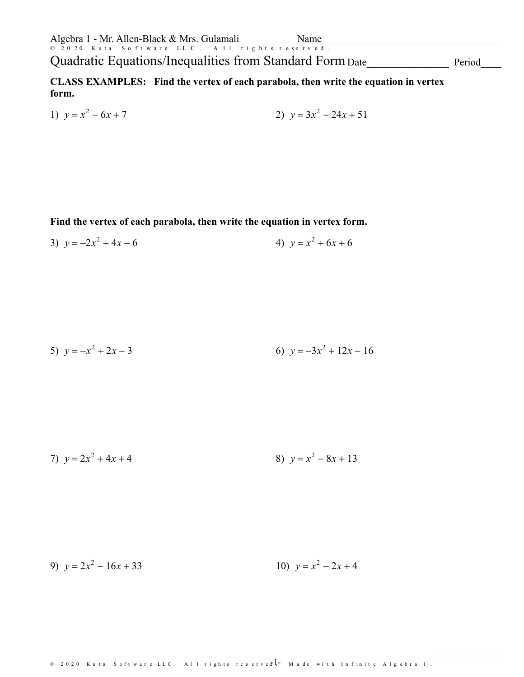Quadratic Equations/Inequalities from Standard Form Date

Period

CLASS EXAMPLES: Find the vertex of each parabola, then write the equation in vertex form.

1) 
$$
y = x^2 - 6x + 7
$$
  
2)  $y = 3x^2 - 24x + 51$ 

Find the vertex of each parabola, then write the equation in vertex form.

3) 
$$
y = -2x^2 + 4x - 6
$$
  
4)  $y = x^2 + 6x + 6$ 

5) 
$$
y = -x^2 + 2x - 3
$$
  
6)  $y = -3x^2 + 12x - 16$ 

7) 
$$
y = 2x^2 + 4x + 4
$$
  
8)  $y = x^2 - 8x + 13$ 

10)  $v = x^2 - 2x + 4$ 9)  $y = 2x^2 - 16x + 33$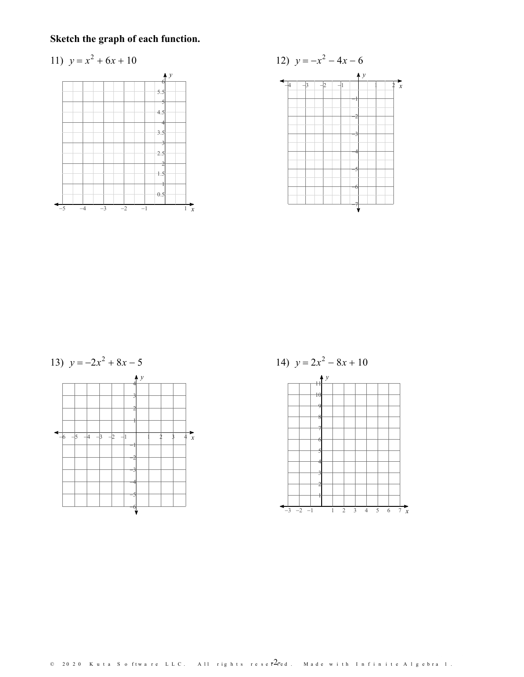Sketch the graph of each function.

11) 
$$
y = x^2 + 6x + 10
$$







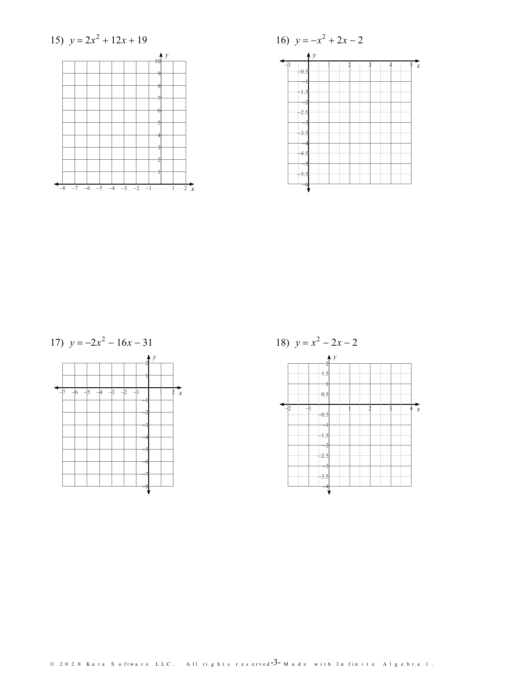







18)  $y = x^2 - 2x - 2$  $\frac{1}{2}$  $1.5$  $0.5$  $\frac{1}{x}$  $-0.5$  $-1.5$  $-2.5$  $3.5$